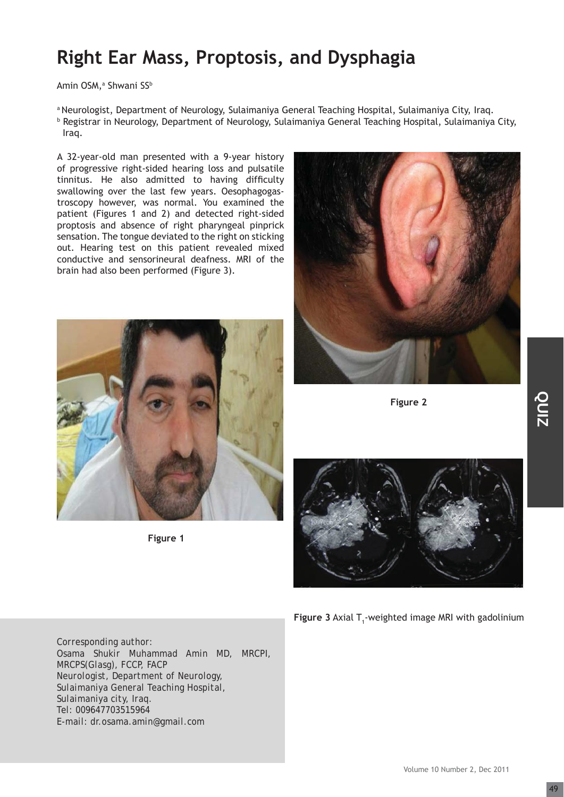## **Right Ear Mass, Proptosis, and Dysphagia**

Amin OSM,ª Shwani SS<sup>b</sup>

a Neurologist, Department of Neurology, Sulaimaniya General Teaching Hospital, Sulaimaniya City, Iraq. b Registrar in Neurology, Department of Neurology, Sulaimaniya General Teaching Hospital, Sulaimaniya City,

Iraq.

A 32-year-old man presented with a 9-year history of progressive right-sided hearing loss and pulsatile tinnitus. He also admitted to having difficulty swallowing over the last few years. Oesophagogastroscopy however, was normal. You examined the patient (Figures 1 and 2) and detected right-sided proptosis and absence of right pharyngeal pinprick sensation. The tongue deviated to the right on sticking out. Hearing test on this patient revealed mixed conductive and sensorineural deafness. MRI of the brain had also been performed (Figure 3).



 **Figure 1**



 **Figure 2**





**Figure 3** Axial T<sub>1</sub>-weighted image MRI with gadolinium

*Corresponding author: Osama Shukir Muhammad Amin MD, MRCPI, MRCPS(Glasg), FCCP, FACP Neurologist, Department of Neurology, Sulaimaniya General Teaching Hospital, Sulaimaniya city, Iraq. Tel: 009647703515964 E-mail: dr.osama.amin@gmail.com*